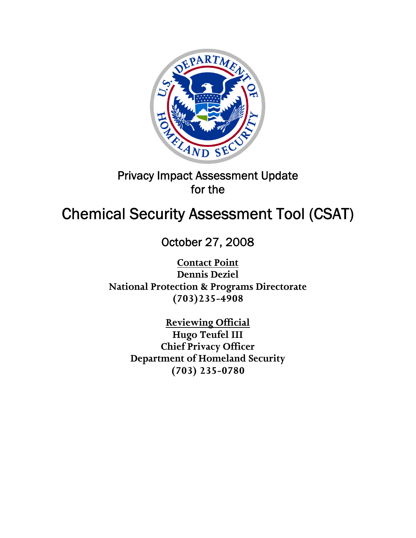

# Privacy Impact Assessment Update for the

# Chemical Security Assessment Tool (CSAT)

October 27, 2008

**Contact Point Dennis Deziel National Protection & Programs Directorate (703)235-4908** 

> **Reviewing Official Hugo Teufel III Chief Privacy Officer Department of Homeland Security (703) 235-0780**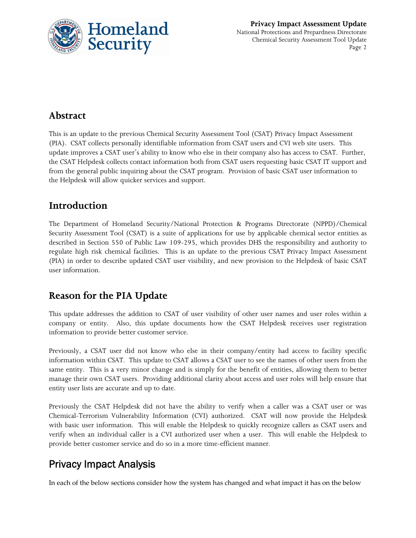

### **Abstract**

This is an update to the previous Chemical Security Assessment Tool (CSAT) Privacy Impact Assessment (PIA). CSAT collects personally identifiable information from CSAT users and CVI web site users. This update improves a CSAT user's ability to know who else in their company also has access to CSAT. Further, the CSAT Helpdesk collects contact information both from CSAT users requesting basic CSAT IT support and from the general public inquiring about the CSAT program. Provision of basic CSAT user information to the Helpdesk will allow quicker services and support.

### **Introduction**

The Department of Homeland Security/National Protection & Programs Directorate (NPPD)/Chemical Security Assessment Tool (CSAT) is a suite of applications for use by applicable chemical sector entities as described in Section 550 of Public Law 109-295, which provides DHS the responsibility and authority to regulate high risk chemical facilities. This is an update to the previous CSAT Privacy Impact Assessment (PIA) in order to describe updated CSAT user visibility, and new provision to the Helpdesk of basic CSAT user information.

### **Reason for the PIA Update**

This update addresses the addition to CSAT of user visibility of other user names and user roles within a company or entity. Also, this update documents how the CSAT Helpdesk receives user registration information to provide better customer service.

Previously, a CSAT user did not know who else in their company/entity had access to facility specific information within CSAT. This update to CSAT allows a CSAT user to see the names of other users from the same entity. This is a very minor change and is simply for the benefit of entities, allowing them to better manage their own CSAT users. Providing additional clarity about access and user roles will help ensure that entity user lists are accurate and up to date.

Previously the CSAT Helpdesk did not have the ability to verify when a caller was a CSAT user or was Chemical-Terrorism Vulnerability Information (CVI) authorized. CSAT will now provide the Helpdesk with basic user information. This will enable the Helpdesk to quickly recognize callers as CSAT users and verify when an individual caller is a CVI authorized user when a user. This will enable the Helpdesk to provide better customer service and do so in a more time-efficient manner.

## Privacy Impact Analysis

In each of the below sections consider how the system has changed and what impact it has on the below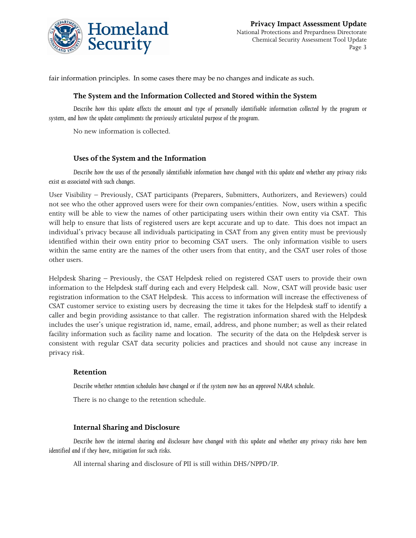

fair information principles. In some cases there may be no changes and indicate as such.

#### **The System and the Information Collected and Stored within the System**

*Describe how this update affects the amount and type of personally identifiable information collected by the program or system, and how the update compliments the previously articulated purpose of the program.* 

No new information is collected.

#### **Uses of the System and the Information**

*Describe how the uses of the personally identifiable information have changed with this update and whether any privacy risks exist as associated with such changes.*

User Visibility – Previously, CSAT participants (Preparers, Submitters, Authorizers, and Reviewers) could not see who the other approved users were for their own companies/entities. Now, users within a specific entity will be able to view the names of other participating users within their own entity via CSAT. This will help to ensure that lists of registered users are kept accurate and up to date. This does not impact an individual's privacy because all individuals participating in CSAT from any given entity must be previously identified within their own entity prior to becoming CSAT users. The only information visible to users within the same entity are the names of the other users from that entity, and the CSAT user roles of those other users.

Helpdesk Sharing – Previously, the CSAT Helpdesk relied on registered CSAT users to provide their own information to the Helpdesk staff during each and every Helpdesk call. Now, CSAT will provide basic user registration information to the CSAT Helpdesk. This access to information will increase the effectiveness of CSAT customer service to existing users by decreasing the time it takes for the Helpdesk staff to identify a caller and begin providing assistance to that caller. The registration information shared with the Helpdesk includes the user's unique registration id, name, email, address, and phone number; as well as their related facility information such as facility name and location. The security of the data on the Helpdesk server is consistent with regular CSAT data security policies and practices and should not cause any increase in privacy risk.

#### **Retention**

*Describe whether retention schedules have changed or if the system now has an approved NARA schedule.* 

There is no change to the retention schedule.

#### **Internal Sharing and Disclosure**

*Describe how the internal sharing and disclosure have changed with this update and whether any privacy risks have been identified and if they have, mitigation for such risks.* 

All internal sharing and disclosure of PII is still within DHS/NPPD/IP.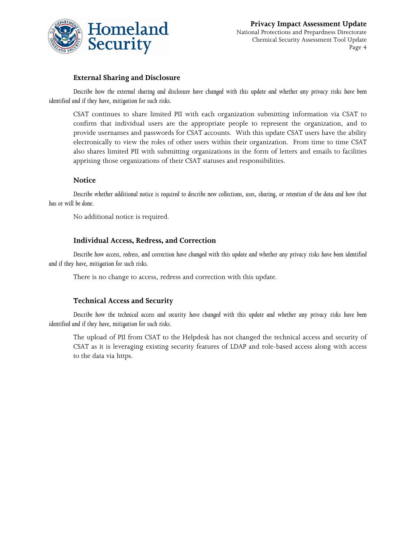

#### **External Sharing and Disclosure**

*Describe how the external sharing and disclosure have changed with this update and whether any privacy risks have been identified and if they have, mitigation for such risks.* 

CSAT continues to share limited PII with each organization submitting information via CSAT to confirm that individual users are the appropriate people to represent the organization, and to provide usernames and passwords for CSAT accounts. With this update CSAT users have the ability electronically to view the roles of other users within their organization. From time to time CSAT also shares limited PII with submitting organizations in the form of letters and emails to facilities apprising those organizations of their CSAT statuses and responsibilities.

#### **Notice**

*Describe whether additional notice is required to describe new collections, uses, sharing, or retention of the data and how that has or will be done.* 

No additional notice is required.

#### **Individual Access, Redress, and Correction**

*Describe how access, redress, and correction have changed with this update and whether any privacy risks have been identified and if they have, mitigation for such risks.* 

There is no change to access, redress and correction with this update.

#### **Technical Access and Security**

*Describe how the technical access and security have changed with this update and whether any privacy risks have been identified and if they have, mitigation for such risks.* 

The upload of PII from CSAT to the Helpdesk has not changed the technical access and security of CSAT as it is leveraging existing security features of LDAP and role-based access along with access to the data via https.